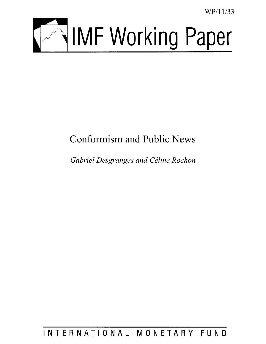WP/11/33



# Conformism and Public News

*Gabriel Desgranges and Céline Rochon* 

# INTERNATIONAL MONETARY FUND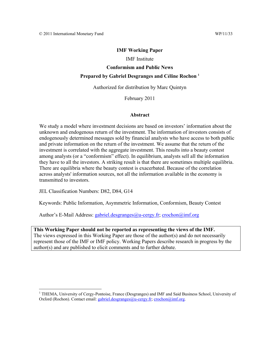### **IMF Working Paper**

IMF Institute

# **Conformism and Public News Prepared by Gabriel Desgranges and Céline Rochon 1**

Authorized for distribution by Marc Quintyn

February 2011

#### **Abstract**

We study a model where investment decisions are based on investors' information about the unknown and endogenous return of the investment. The information of investors consists of endogenously determined messages sold by financial analysts who have access to both public and private information on the return of the investment. We assume that the return of the investment is correlated with the aggregate investment. This results into a beauty contest among analysts (or a "conformism" effect). In equilibrium, analysts sell all the information they have to all the investors. A striking result is that there are sometimes multiple equilibria. There are equilibria where the beauty contest is exacerbated. Because of the correlation across analysts' information sources, not all the information available in the economy is transmitted to investors.

JEL Classification Numbers: D82, D84, G14

 $\overline{a}$ 

Keywords: Public Information, Asymmetric Information, Conformism, Beauty Contest

Author's E-Mail Address: gabriel.desgranges@u-cergy.fr; crochon@imf.org

**This Working Paper should not be reported as representing the views of the IMF.**  The views expressed in this Working Paper are those of the author(s) and do not necessarily represent those of the IMF or IMF policy. Working Papers describe research in progress by the author(s) and are published to elicit comments and to further debate.

<sup>&</sup>lt;sup>1</sup> THEMA, University of Cergy-Pontoise, France (Desgranges) and IMF and Said Business School, University of Oxford (Rochon). Contact email: gabriel.desgranges@u-cergy.fr; crochon@imf.org.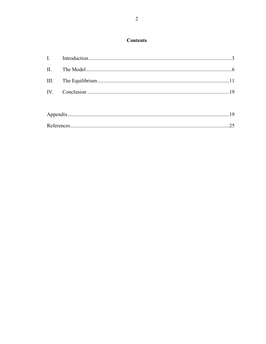# **Contents**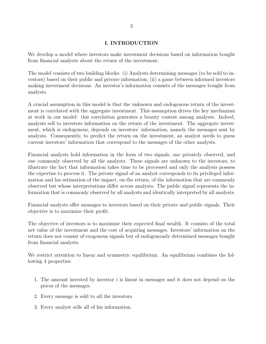### **I. INTRODUCTION**

We develop a model where investors make investment decisions based on information bought from financial analysts about the return of the investment.

The model consists of two building blocks: (i) Analysts determining messages (to be sold to investors) based on their public and private information; (ii) a game between informed investors making investment decisions. An investor's information consists of the messages bought from analysts.

A crucial assumption in this model is that the unknown and endogenous return of the investment is correlated with the aggregate investment. This assumption drives the key mechanism at work in our model: this correlation generates a beauty contest among analysts. Indeed, analysts sell to investors information on the return of the investment. The aggregate investment, which is endogenous, depends on investors' information, namely the messages sent by analysts. Consequently, to predict the return on the investment, an analyst needs to guess current investors' information that correspond to the messages of the other analysts.

Financial analysts hold information in the form of two signals, one privately observed, and one commonly observed by all the analysts. These signals are unknown to the investors, to illustrate the fact that information takes time to be processed and only the analysts possess the expertise to process it. The private signal of an analyst corresponds to its privileged information and his estimation of the impact, on the return, of the information that are commonly observed but whose interpretations differ across analysts. The public signal represents the information that is commonly observed by all analysts and identically interpreted by all analysts.

Financial analysts offer messages to investors based on their private and public signals. Their objective is to maximize their profit.

The objective of investors is to maximize their expected final wealth. It consists of the total net value of the investment and the cost of acquiring messages. Investors' information on the return does not consist of exogenous signals but of endogenously determined messages bought from financial analysts.

We restrict attention to linear and symmetric equilibrium. An equilibrium combines the following 4 properties:

- 1. The amount invested by investor *i* is linear in messages and it does not depend on the prices of the messages.
- 2. Every message is sold to all the investors.
- 3. Every analyst sells all of his information.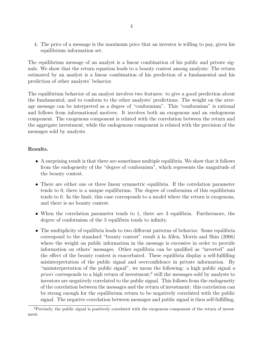4. The price of a message is the maximum price that an investor is willing to pay, given his equilibrium information set.

The equilibrium message of an analyst is a linear combination of his public and private signals. We show that the return equation leads to a beauty contest among analysts: The return estimated by an analyst is a linear combination of his prediction of a fundamental and his prediction of other analysts' behavior.

The equilibrium behavior of an analyst involves two features: to give a good prediction about the fundamental, and to conform to the other analysts' predictions. The weight on the average message can be interpreted as a degree of "conformism". This "conformism" is rational and follows from informational motives. It involves both an exogenous and an endogenous component. The exogenous component is related with the correlation between the return and the aggregate investment, while the endogenous component is related with the precision of the messages sold by analysts.

## **Results.**

- A surprising result is that there are sometimes multiple equilibria. We show that it follows from the endogeneity of the "degree of conformism", which represents the magnitude of the beauty contest.
- There are either one or three linear symmetric equilibria. If the correlation parameter tends to 0, there is a unique equilibrium. The degree of conformism of this equilibrium tends to 0. In the limit, this case corresponds to a model where the return is exogenous, and there is no beauty contest.
- When the correlation parameter tends to 1, there are 3 equilibria. Furthermore, the degree of conformism of the 3 equilibria tends to infinity.
- The multiplicity of equilibria leads to two different patterns of behavior. Some equilibria correspond to the standard "beauty contest" result `a la Allen, Morris and Shin (2006) where the weight on public information in the message is excessive in order to provide information on others' messages. Other equilibria can be qualified as "inverted" and the effect of the beauty contest is exacerbated. These equilibria display a self-fulfilling misinterpretation of the public signal and overconfidence in private information. By "misinterpretation of the public signal", we mean the following: a high public signal *a priori* corresponds to a high return of investment;<sup>4</sup> still the messages sold by analysts to investors are negatively correlated to the public signal. This follows from the endogeneity of the correlation between the messages and the return of investment: this correlation can be strong enough for the equilibrium return to be negatively correlated with the public signal. The negative correlation between messages and public signal is then self-fulfilling.

<sup>4</sup>Precisely, the public signal is positively correlated with the exogenous component of the return of investment.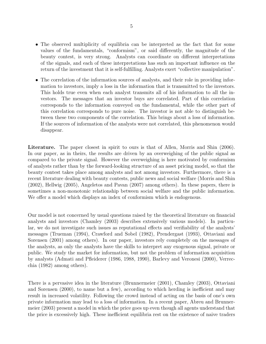- The observed multiplicity of equilibria can be interpreted as the fact that for some values of the fundamentals, "conformism", or said differently, the magnitude of the beauty contest, is very strong. Analysts can coordinate on different interpretations of the signals, and each of these interpretations has such an important influence on the return of the investment that it is self-fulfilling. Analysts exert "collective manipulation".
- The correlation of the information sources of analysts, and their role in providing information to investors, imply a loss in the information that is transmitted to the investors. This holds true even when each analyst transmits all of his information to all the investors. The messages that an investor buys are correlated. Part of this correlation corresponds to the information conveyed on the fundamental, while the other part of this correlation corresponds to pure noise. The investor is not able to distinguish between these two components of the correlation. This brings about a loss of information. If the sources of information of the analysts were not correlated, this phenomenon would disappear.

**Literature.** The paper closest in spirit to ours is that of Allen, Morris and Shin (2006). In our paper, as in theirs, the results are driven by an overweighing of the public signal as compared to the private signal. However the overweighing is here motivated by conformism of analysts rather than by the forward-looking structure of an asset pricing model, so that the beauty contest takes place among analysts and not among investors. Furthermore, there is a recent literature dealing with beauty contests, public news and social welfare (Morris and Shin (2002), Hellwig (2005), Angeletos and Pavan (2007) among others). In these papers, there is sometimes a non-monotonic relationship between social welfare and the public information. We offer a model which displays an index of conformism which is endogenous.

Our model is not concerned by usual questions raised by the theoretical literature on financial analysts and investors (Chamley (2003) describes extensively various models). In particular, we do not investigate such issues as reputational effects and verifiability of the analysts' messages (Trueman (1994), Crawford and Sobel (1982), Prendergast (1993), Ottaviani and Sorensen (2001) among others). In our paper, investors rely completely on the messages of the analysts, as only the analysts have the skills to interpret any exogenous signal, private or public. We study the market for information, but not the problem of information acquisition by analysts (Admati and Pfleiderer (1986, 1988, 1990), Barlevy and Veronesi (2000), Verrecchia (1982) among others).

There is a pervasive idea in the literature (Brunnermeier (2001), Chamley (2003), Ottaviani and Sorensen (2000), to name but a few), according to which herding is inefficient and may result in increased volatility. Following the crowd instead of acting on the basis of one's own private information may lead to a loss of information. In a recent paper, Abreu and Brunnermeier (2003) present a model in which the price goes up even though all agents understand that the price is excessively high. These inefficient equilibria rest on the existence of naive traders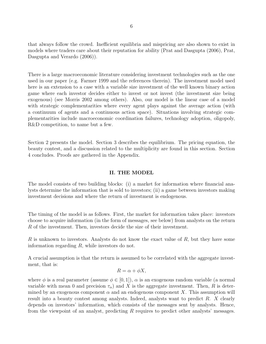that always follow the crowd. Inefficient equilibria and mispricing are also shown to exist in models where traders care about their reputation for ability (Prat and Dasgupta (2006), Prat, Dasgupta and Verardo (2006)).

There is a large macroeconomic literature considering investment technologies such as the one used in our paper (e.g. Farmer 1999 and the references therein). The investment model used here is an extension to a case with a variable size investment of the well known binary action game where each investor decides either to invest or not invest (the investment size being exogenous) (see Morris 2002 among others). Also, our model is the linear case of a model with strategic complementarities where every agent plays against the average action (with a continuum of agents and a continuous action space). Situations involving strategic complementarities include macroeconomic coordination failures, technology adoption, oligopoly, R&D competition, to name but a few.

Section 2 presents the model. Section 3 describes the equilibrium. The pricing equation, the beauty contest, and a discussion related to the multiplicity are found in this section. Section 4 concludes. Proofs are gathered in the Appendix.

#### **II. THE MODEL**

The model consists of two building blocks: (i) a market for information where financial analysts determine the information that is sold to investors; (ii) a game between investors making investment decisions and where the return of investment is endogenous.

The timing of the model is as follows. First, the market for information takes place: investors choose to acquire information (in the form of messages, see below) from analysts on the return *R* of the investment. Then, investors decide the size of their investment.

*R* is unknown to investors. Analysts do not know the exact value of *R*, but they have some information regarding *R*, while investors do not.

A crucial assumption is that the return is assumed to be correlated with the aggregate investment, that is:

$$
R = \alpha + \phi X,
$$

where  $\phi$  is a real parameter (assume  $\phi \in [0, 1]$ ),  $\alpha$  is an exogenous random variable (a normal variable with mean 0 and precision  $\tau_{\alpha}$ ) and *X* is the aggregate investment. Then, *R* is determined by an exogenous component  $\alpha$  and an endogenous component X. This assumption will result into a beauty contest among analysts. Indeed, analysts want to predict *R*. *X* clearly depends on investors' information, which consists of the messages sent by analysts. Hence, from the viewpoint of an analyst, predicting *R* requires to predict other analysts' messages.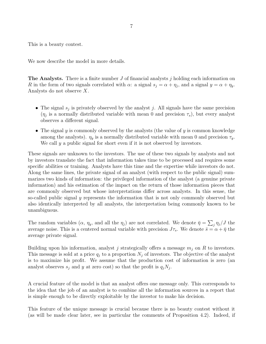This is a beauty contest.

We now describe the model in more details.

**The Analysts.** There is a finite number *J* of financial analysts *j* holding each information on *R* in the form of two signals correlated with  $\alpha$ : a signal  $s_j = \alpha + \eta_j$ , and a signal  $y = \alpha + \eta_y$ . Analysts do not observe *X*.

- The signal  $s_j$  is privately observed by the analyst *j*. All signals have the same precision  $(\eta_j)$  is a normally distributed variable with mean 0 and precision  $\tau_s$ ), but every analyst observes a different signal.
- *•* The signal *y* is commonly observed by the analysts (the value of *y* is common knowledge among the analysts).  $\eta_y$  is a normally distributed variable with mean 0 and precision  $\tau_y$ . We call *y* a public signal for short even if it is not observed by investors.

These signals are unknown to the investors. The use of these two signals by analysts and not by investors translate the fact that information takes time to be processed and requires some specific abilities or training. Analysts have this time and the expertise while investors do not. Along the same lines, the private signal of an analyst (with respect to the public signal) summarizes two kinds of information: the privileged information of the analyst (a genuine private information) and his estimation of the impact on the return of those information pieces that are commonly observed but whose interpretations differ across analysts. In this sense, the so-called public signal *y* represents the information that is not only commonly observed but also identically interpreted by all analysts, the interpretation being commonly known to be unambiguous.

The random variables  $(\alpha, \eta_y, \text{ and all the } \eta_j)$  are not correlated. We denote  $\bar{\eta} = \sum_j \eta_j / J$  the average noise. This is a centered normal variable with precision  $J\tau_s$ . We denote  $\bar{s} = \alpha + \bar{\eta}$  the average private signal.

Building upon his information, analyst *j* strategically offers a message  $m_j$  on R to investors. This message is sold at a price  $q_j$  to a proportion  $N_j$  of investors. The objective of the analyst is to maximize his profit. We assume that the production cost of information is zero (an analyst observes  $s_j$  and  $y$  at zero cost) so that the profit is  $q_jN_j$ .

A crucial feature of the model is that an analyst offers one message only. This corresponds to the idea that the job of an analyst is to combine all the information sources in a report that is simple enough to be directly exploitable by the investor to make his decision.

This feature of the unique message is crucial because there is no beauty contest without it (as will be made clear later, see in particular the comments of Proposition 4.2). Indeed, if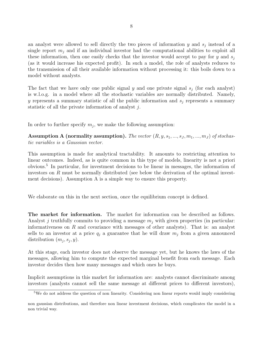an analyst were allowed to sell directly the two pieces of information *y* and *s<sup>j</sup>* instead of a single report  $m_j$  and if an individual investor had the computational abilities to exploit all these information, then one easily checks that the investor would accept to pay for *y* and  $s_j$ (as it would increase his expected profit). In such a model, the role of analysts reduces to the transmission of all their available information without processing it: this boils down to a model without analysts.

The fact that we have only one public signal  $y$  and one private signal  $s_j$  (for each analyst) is w.l.o.g. in a model where all the stochastic variables are normally distributed. Namely, *y* represents a summary statistic of all the public information and *s<sup>j</sup>* represents a summary statistic of all the private information of analyst *j*.

In order to further specify  $m_j$ , we make the following assumption:

**Assumption A (normality assumption).** The vector  $(R, y, s_1, \ldots, s_J, m_1, \ldots, m_J)$  of stochas*tic variables is a Gaussian vector.*

This assumption is made for analytical tractability. It amounts to restricting attention to linear outcomes. Indeed, as is quite common in this type of models, linearity is not a priori obvious.<sup>5</sup> In particular, for investment decisions to be linear in messages, the information of investors on *R* must be normally distributed (see below the derivation of the optimal investment decisions). Assumption A is a simple way to ensure this property.

We elaborate on this in the next section, once the equilibrium concept is defined.

**The market for information.** The market for information can be described as follows. Analyst *j* truthfully commits to providing a message  $m_j$  with given properties (in particular: informativeness on *R* and covariance with messages of other analysts). That is: an analyst sells to an investor at a price  $q_j$  a guarantee that he will draw  $m_j$  from a given announced distribution  $(m_j, s_j, y)$ .

At this stage, each investor does not observe the message yet, but he knows the laws of the messages, allowing him to compute the expected marginal benefit from each message. Each investor decides then how many messages and which ones he buys.

Implicit assumptions in this market for information are: analysts cannot discriminate among investors (analysts cannot sell the same message at different prices to different investors),

<sup>5</sup>We do not address the question of non linearity. Considering non linear reports would imply considering

non gaussian distributions, and therefore non linear investment decisions, which complicates the model in a non trivial way.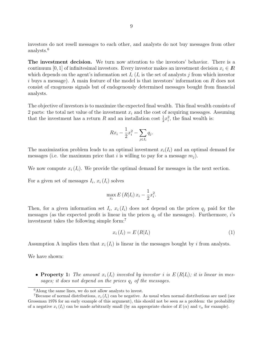investors do not resell messages to each other, and analysts do not buy messages from other analysts.<sup>6</sup>

**The investment decision.** We turn now attention to the investors' behavior. There is a continuum [0, 1] of infinitesimal investors. Every investor makes an investment decision  $x_i \in \mathbb{R}$ which depends on the agent's information set  $I_i$  ( $I_i$  is the set of analysts  $j$  from which investor *i* buys a message). A main feature of the model is that investors' information on *R* does not consist of exogenous signals but of endogenously determined messages bought from financial analysts.

The objective of investors is to maximize the expected final wealth. This final wealth consists of 2 parts: the total net value of the investment  $x_i$  and the cost of acquiring messages. Assuming that the investment has a return *R* and an installation cost  $\frac{1}{2}x_i^2$ , the final wealth is:

$$
Rx_i - \frac{1}{2}x_i^2 - \sum_{j \in I_i} q_j.
$$

The maximization problem leads to an optimal investment  $x_i(I_i)$  and an optimal demand for messages (i.e. the maximum price that *i* is willing to pay for a message  $m_j$ ).

We now compute  $x_i(I_i)$ . We provide the optimal demand for messages in the next section.

For a given set of messages  $I_i$ ,  $x_i$  ( $I_i$ ) solves

$$
\max_{x_i} E(R|I_i) x_i - \frac{1}{2}x_i^2.
$$

Then, for a given information set  $I_i$ ,  $x_i(I_i)$  does not depend on the prices  $q_j$  paid for the messages (as the expected profit is linear in the prices  $q_j$  of the messages). Furthermore, *i*'s investment takes the following simple form:<sup>7</sup>

$$
x_i(I_i) = E(R|I_i) \tag{1}
$$

Assumption A implies then that  $x_i(I_i)$  is linear in the messages bought by *i* from analysts.

We have shown:

• **Property 1:** The amount  $x_i(I_i)$  invested by investor *i* is  $E(R|I_i)$ ; it is linear in mes*sages; it does not depend on the prices q<sup>j</sup> of the messages.*

<sup>6</sup>Along the same lines, we do not allow analysts to invest.

<sup>&</sup>lt;sup>7</sup>Because of normal distributions,  $x_i$  ( $I_i$ ) can be negative. As usual when normal distributions are used (see Grossman 1976 for an early example of this argument), this should not be seen as a problem: the probability of a negative  $x_i(I_i)$  can be made arbitrarily small (by an appropriate choice of  $E(\alpha)$  and  $\tau_\alpha$  for example).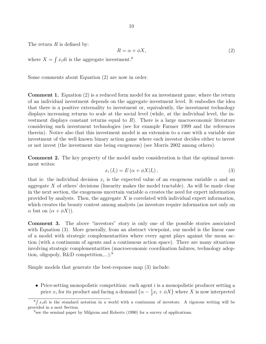The return *R* is defined by:

$$
R = \alpha + \phi X,\tag{2}
$$

where  $X = \int x_i \, di$  is the aggregate investment.<sup>8</sup>

Some comments about Equation (2) are now in order.

**Comment 1.** Equation (2) is a reduced form model for an investment game, where the return of an individual investment depends on the aggregate investment level. It embodies the idea that there is a positive externality to investment or, equivalently, the investment technology displays increasing returns to scale at the social level (while, at the individual level, the investment displays constant returns equal to *R*). There is a large macroeconomic literature considering such investment technologies (see for example Farmer 1999 and the references therein). Notice also that this investment model is an extension to a case with a variable size investment of the well known binary action game where each investor decides either to invest or not invest (the investment size being exogenous) (see Morris 2002 among others).

**Comment 2.** The key property of the model under consideration is that the optimal investment writes:

$$
x_i(I_i) = E\left(\alpha + \phi X | I_i\right),\tag{3}
$$

that is: the individual decision  $x_i$  is the expected value of an exogenous variable  $\alpha$  and an aggregate *X* of others' decisions (linearity makes the model tractable). As will be made clear in the next section, the exogenous uncertain variable  $\alpha$  creates the need for expert information provided by analysts. Then, the aggregate *X* is correlated with individual expert information, which creates the beauty contest among analysts (as investors require information not only on *α* but on  $(α + φX)$ ).

**Comment 3.** The above "investors" story is only one of the possible stories associated with Equation (3). More generally, from an abstract viewpoint, our model is the linear case of a model with strategic complementarities where every agent plays against the mean action (with a continuum of agents and a continuous action space). There are many situations involving strategic complementarities (macroeconomic coordination failures, technology adoption, oligopoly, R&D competition,...).<sup>9</sup>

Simple models that generate the best-response map (3) include:

• Price-setting monopolistic competition: each agent *i* is a monopolistic producer setting a price  $x_i$  for its product and facing a demand  $(\alpha - \frac{1}{2})$  $\frac{1}{2}x_i + \phi X$ ) where *X* is now interpreted

 ${}^8 \int x_i \, di$  is the standard notation in a world with a continuum of investors. A rigorous writing will be provided in a next Section.

<sup>&</sup>lt;sup>9</sup> see the seminal paper by Milgrom and Roberts (1990) for a survey of applications.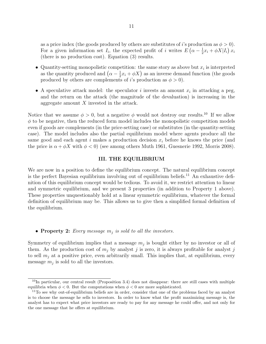as a price index (the goods produced by others are substitutes of *i*'s production as  $\phi > 0$ ). For a given information set  $I_i$ , the expected profit of *i* writes  $E\left(\alpha - \frac{1}{2}\right)$  $\frac{1}{2}x_i + \phi X|I_i(x)$ (there is no production cost). Equation (3) results.

- Quantity-setting monopolistic competition: the same story as above but  $x_i$  is interpreted as the quantity produced and  $(\alpha - \frac{1}{2})$  $\frac{1}{2}x_i + \phi X$ ) as an inverse demand function (the goods produced by others are complements of *i*'s production as  $\phi > 0$ .
- A speculative attack model: the speculator *i* invests an amount  $x_i$  in attacking a peg, and the return on the attack (the magnitude of the devaluation) is increasing in the aggregate amount *X* invested in the attack.

Notice that we assume  $\phi > 0$ , but a negative  $\phi$  would not destroy our results.<sup>10</sup> If we allow *ϕ* to be negative, then the reduced form model includes the monopolistic competition models even if goods are complements (in the price-setting case) or substitutes (in the quantity-setting case). The model includes also the partial equilibrium model where agents produce all the same good and each agent *i* makes a production decision  $x_i$  before he knows the price (and the price is  $\alpha + \phi X$  with  $\phi < 0$  (see among others Muth 1961, Guesnerie 1992, Morris 2008).

#### **III. THE EQUILIBRIUM**

We are now in a position to define the equilibrium concept. The natural equilibrium concept is the perfect Bayesian equilibrium involving out of equilibrium beliefs.<sup>11</sup> An exhaustive definition of this equilibrium concept would be tedious. To avoid it, we restrict attention to linear and symmetric equilibrium, and we present 3 properties (in addition to Property 1 above). These properties unquestionably hold at a linear symmetric equilibrium, whatever the formal definition of equilibrium may be. This allows us to give then a simplified formal definition of the equilibrium.

#### *•* **Property 2:** *Every message m<sup>j</sup> is sold to all the investors.*

Symmetry of equilibrium implies that a message  $m_j$  is bought either by no investor or all of them. As the production cost of  $m_j$  by analyst *j* is zero, it is always profitable for analyst *j* to sell  $m_j$  at a positive price, even arbitrarily small. This implies that, at equilibrium, every message  $m_j$  is sold to all the investors.

 $10$ In particular, our central result (Proposition 3.4) does not disappear: there are still cases with multiple equilibria when  $\phi < 0$ . But the computations when  $\phi < 0$  are more sophisticated.

<sup>&</sup>lt;sup>11</sup>To see why out-of-equilibrium beliefs are in order, consider that one of the problems faced by an analyst is to choose the message he sells to investors. In order to know what the profit maximizing message is, the analyst has to expect what price investors are ready to pay for any message he could offer, and not only for the one message that he offers at equilibrium.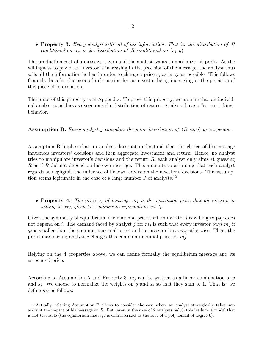*•* **Property 3:** *Every analyst sells all of his information. That is: the distribution of R conditional on*  $m_j$  *is the distribution of*  $R$  *conditional on*  $(s_j, y)$ *.* 

The production cost of a message is zero and the analyst wants to maximize his profit. As the willingness to pay of an investor is increasing in the precision of the message, the analyst thus sells all the information he has in order to charge a price  $q_i$  as large as possible. This follows from the benefit of a piece of information for an investor being increasing in the precision of this piece of information.

The proof of this property is in Appendix. To prove this property, we assume that an individual analyst considers as exogenous the distribution of return. Analysts have a "return-taking" behavior.

**Assumption B.** Every analyst *j* considers the joint distribution of  $(R, s_j, y)$  as exogenous.

Assumption B implies that an analyst does not understand that the choice of his message influences investors' decisions and then aggregate investment and return. Hence, no analyst tries to manipulate investor's decisions and the return *R*; each analyst only aims at guessing *R* as if *R* did not depend on his own message. This amounts to assuming that each analyst regards as negligible the influence of his own advice on the investors' decisions. This assumption seems legitimate in the case of a large number  $J$  of analysts.<sup>12</sup>

*•* **Property 4:** *The price q<sup>j</sup> of message m<sup>j</sup> is the maximum price that an investor is willing to pay, given his equilibrium information set*  $I_i$ .

Given the symmetry of equilibrium, the maximal price that an investor *i* is willing to pay does not depend on *i*. The demand faced by analyst *j* for  $m_j$  is such that every investor buys  $m_j$  if  $q_j$  is smaller than the common maximal price, and no investor buys  $m_j$  otherwise. Then, the profit maximizing analyst *j* charges this common maximal price for *m<sup>j</sup>* .

Relying on the 4 properties above, we can define formally the equilibrium message and its associated price.

According to Assumption A and Property 3,  $m_j$  can be written as a linear combination of  $y$ and  $s_j$ . We choose to normalize the weights on *y* and  $s_j$  so that they sum to 1. That is: we define  $m_j$  as follows:

<sup>12</sup>Actually, relaxing Assumption B allows to consider the case where an analyst strategically takes into account the impact of his message on *R*. But (even in the case of 2 analysts only), this leads to a model that is not tractable (the equilibrium message is characterized as the root of a polynomial of degree 6).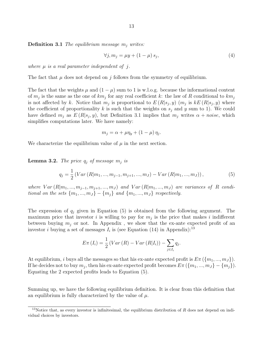13

**Definition 3.1** *The equilibrium message m<sup>j</sup> writes:*

$$
\forall j, m_j = \mu y + (1 - \mu) s_j,\tag{4}
$$

*where µ is a real parameter independent of j.*

The fact that  $\mu$  does not depend on *j* follows from the symmetry of equilibrium.

The fact that the weights  $\mu$  and  $(1 - \mu)$  sum to 1 is w.l.o.g. because the informational content of *m<sup>j</sup>* is the same as the one of *km<sup>j</sup>* for any real coefficient *k*: the law of *R* conditional to *km<sup>j</sup>* is not affected by *k*. Notice that  $m_j$  is proportional to  $E(R|s_j, y)$  ( $m_j$  is  $kE(R|s_j, y)$  where the coefficient of proportionality  $k$  is such that the weights on  $s_j$  and  $y$  sum to 1). We could have defined  $m_j$  as  $E(R|s_j, y)$ , but Definition 3.1 implies that  $m_j$  writes  $\alpha + noise$ , which simplifies computations later. We have namely:

$$
m_j = \alpha + \mu \eta_y + (1 - \mu) \eta_j.
$$

We characterize the equilibrium value of  $\mu$  in the next section.

**Lemma 3.2.** *The price*  $q_j$  *of message*  $m_j$  *is* 

$$
q_j = \frac{1}{2} \left( Var\left(R|m_1, ..., m_{j-1}, m_{j+1}, ..., m_J\right) - Var\left(R|m_1, ..., m_J\right)\right),\tag{5}
$$

where  $Var(R|m_1,...,m_{i-1},m_{i+1},...,m_J)$  and  $Var(R|m_1,...,m_J)$  are variances of R condi*tional on the sets*  $\{m_1, ..., m_J\} - \{m_i\}$  *and*  $\{m_1, ..., m_J\}$  *respectively.* 

The expression of *q<sup>j</sup>* given in Equation (5) is obtained from the following argument. The maximum price that investor  $i$  is willing to pay for  $m_j$  is the price that makes  $i$  indifferent between buying  $m_j$  or not. In Appendix, we show that the ex-ante expected profit of an investor *i* buying a set of messages  $I_i$  is (see Equation (14) in Appendix):<sup>13</sup>

$$
E\pi(I_i) = \frac{1}{2} \left( Var\left(R\right) - Var\left(R|I_i\right) \right) - \sum_{j \in I_i} q_j.
$$

At equilibrium, *i* buys all the messages so that his ex-ante expected profit is  $E\pi$  ( $\{m_1, ..., m_J\}$ ). If he decides not to buy  $m_j$ , then his ex-ante expected profit becomes  $E\pi(\lbrace m_1,...,m_J\rbrace - \lbrace m_j \rbrace)$ . Equating the 2 expected profits leads to Equation (5).

Summing up, we have the following equilibrium definition. It is clear from this definition that an equilibrium is fully characterized by the value of *µ*.

<sup>&</sup>lt;sup>13</sup>Notice that, as every investor is infinitesimal, the equilibrium distribution of *R* does not depend on individual choices by investors.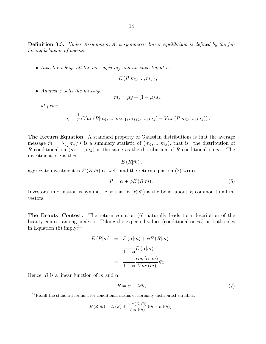**Definition 3.3.** *Under Assumption A, a symmetric linear equilibrium is defined by the following behavior of agents:*

*• Investor i buys all the messages m<sup>j</sup> and his investment is*

$$
E(R|m_1,...,m_J),
$$

*• Analyst j sells the message*

$$
m_j = \mu y + (1 - \mu) s_j,
$$

*at price*

$$
q_j = \frac{1}{2} \left( Var\left(R|m_1, ..., m_{j-1}, m_{j+1}, ..., m_J\right) - Var\left(R|m_1, ..., m_J\right)\right).
$$

**The Return Equation.** A standard property of Gaussian distributions is that the average message  $\bar{m} = \sum_j m_j / J$  is a summary statistic of  $(m_1, ..., m_J)$ , that is: the distribution of *R* conditional on  $(m_1, ..., m_J)$  is the same as the distribution of *R* conditional on  $\bar{m}$ . The investment of *i* is then

 $E(R|\bar{m})$ ,

aggregate investment is  $E(R|\bar{m})$  as well, and the return equation (2) writes:

$$
R = \alpha + \phi E\left(R|\bar{m}\right). \tag{6}
$$

Investors' information is symmetric so that  $E(R|\bar{m})$  is the belief about R common to all investors.

**The Beauty Contest.** The return equation (6) naturally leads to a description of the beauty contest among analysts. Taking the expected values (conditional on  $\bar{m}$ ) on both sides in Equation  $(6)$  imply:<sup>14</sup>

$$
E(R|\bar{m}) = E(\alpha|\bar{m}) + \phi E(R|\bar{m}),
$$
  
= 
$$
\frac{1}{1-\phi}E(\alpha|\bar{m}),
$$
  
= 
$$
\frac{1}{1-\phi}\frac{cov(\alpha,\bar{m})}{Var(\bar{m})}\bar{m}.
$$

Hence, *R* is a linear function of  $\bar{m}$  and  $\alpha$ 

$$
R = \alpha + \lambda \bar{m},\tag{7}
$$

$$
E(Z|\bar{m}) = E(Z) + \frac{cov(Z,\bar{m})}{Var(\bar{m})} (\bar{m} - E(\bar{m})).
$$

<sup>&</sup>lt;sup>14</sup>Recall the standard formula for conditional means of normally distributed variables: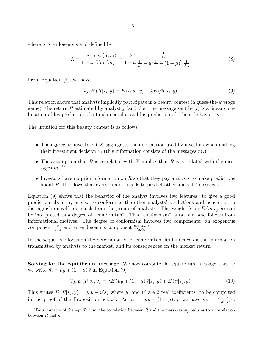where  $\lambda$  is endogenous and defined by

$$
\lambda = \frac{\phi}{1 - \phi} \frac{\text{cov}(\alpha, \bar{m})}{Var(\bar{m})} = \frac{\phi}{1 - \phi} \frac{\frac{1}{\tau_{\alpha}}}{\frac{1}{\tau_{\alpha}} + \mu^{2} \frac{1}{\tau_{y}} + (1 - \mu)^{2} \frac{1}{J\tau_{s}}}.
$$
(8)

From Equation (7), we have:

$$
\forall j, E(R|s_j, y) = E(\alpha|s_j, y) + \lambda E(\bar{m}|s_j, y). \tag{9}
$$

This relation shows that analysts implicitly participate in a beauty contest (a guess-the-average game): the return R estimated by analyst  $j$  (and then the message sent by  $j$ ) is a linear combination of his prediction of a fundamental  $\alpha$  and his prediction of others' behavior  $\bar{m}$ .

The intuition for this beauty contest is as follows:

- The aggregate investment X aggregates the information used by investors when making their investment decision  $x_i$  (this information consists of the messages  $m_i$ ).
- *•* The assumption that *R* is correlated with *X* implies that *R* is correlated with the messages  $m_j$ .<sup>15</sup>
- Investors have no prior information on *R* so that they pay analysts to make predictions about *R*. It follows that every analyst needs to predict other analysts' messages.

Equation (9) shows that the behavior of the analyst involves two features: to give a good prediction about  $\alpha$ , or else to conform to the other analysts' predictions and hence not to distinguish oneself too much from the group of analysts. The weight  $\lambda$  on  $E(\bar{m}|s_j, y)$  can be interpreted as a degree of "conformism". This "conformism" is rational and follows from informational motives. The degree of conformism involves two components: an exogenous component  $\frac{\phi}{1-\phi}$  and an endogenous component  $\frac{cov(\alpha,\bar{m})}{Var(\bar{m})}$ .

In the sequel, we focus on the determination of conformism, its influence on the information transmitted by analysts to the market, and its consequences on the market return.

**Solving for the equilibrium message.** We now compute the equilibrium message, that is: we write  $\bar{m} = \mu y + (1 - \mu) \bar{s}$  in Equation (9)

$$
\forall j, E (R|s_j, y) = \lambda E (\mu y + (1 - \mu) \bar{s}|s_j, y) + E (\alpha|s_j, y). \tag{10}
$$

This writes  $E(R|s_j, y) = \mu' y + \nu' s_j$  where  $\mu'$  and  $\nu'$  are 2 real coefficients (to be computed in the proof of the Proposition below). As  $m_j = \mu y + (1 - \mu) s_j$ , we have  $m_j = \frac{\mu' y + \nu' s_j}{\mu' + \nu'}$  $\frac{y+\nu s_j}{\mu'+\nu'}$ .

<sup>&</sup>lt;sup>15</sup>By symmetry of the equilibrium, the correlation between *R* and the messages  $m_j$  reduces to a correlation between *R* and  $\bar{m}$ .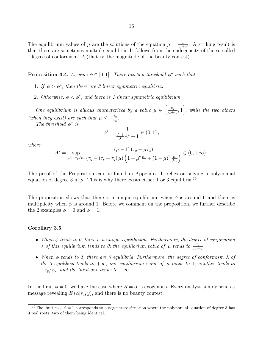The equilibrium values of  $\mu$  are the solutions of the equation  $\mu = \frac{\mu'}{\mu' + \mu'}$  $\frac{\mu'}{\mu' + \nu'}$ . A striking result is that there are sometimes multiple equilibria. It follows from the endogeneity of the so-called "degree of conformism"  $\lambda$  (that is: the magnitude of the beauty contest).

**Proposition 3.4.** Assume  $\phi \in [0,1]$ . There exists a threshold  $\phi^*$  such that

- 1. If  $\phi > \phi^*$ , then there are 3 linear symmetric equilibria.
- 2. Otherwise,  $\phi < \phi^*$ , and there is 1 linear symmetric equilibrium.

*One equilibrium is always characterized by a value*  $\mu \in \left[\frac{\tau_y}{\tau_y}\right]$  $\left[\frac{\tau_y}{\tau_s + \tau_y}, 1\right]$ , *while the two others (when they exist) are such that*  $\mu \leq -\frac{\tau_y}{\tau_\alpha}$ .

*The threshold ϕ ∗ is*

$$
\phi^* = \frac{1}{\frac{J-1}{J}A^* + 1} \in (0,1),
$$

*where*

$$
A^* = \sup_{\mu \leq -\tau_y/\tau_\alpha} \frac{(\mu - 1) (\tau_y + \mu \tau_\alpha)}{(\tau_y - (\tau_s + \tau_y) \mu) \left(1 + \mu^2 \frac{\tau_\alpha}{\tau_y} + (1 - \mu)^2 \frac{\tau_\alpha}{J \tau_s}\right)} \in (0, +\infty).
$$

The proof of the Proposition can be found in Appendix. It relies on solving a polynomial equation of degree 3 in  $\mu$ . This is why there exists either 1 or 3 equilibria.<sup>16</sup>

The proposition shows that there is a unique equilibrium when  $\phi$  is around 0 and there is multiplicity when  $\phi$  is around 1. Before we comment on the proposition, we further describe the 2 examples  $\phi = 0$  and  $\phi = 1$ .

#### **Corollary 3.5.**

- *• When ϕ tends to 0, there is a unique equilibrium. Furthermore, the degree of conformism λ of this equilibrium tends to 0; the equilibrium value of*  $\mu$  *tends to*  $\frac{\tau_y}{\tau_y + \tau_s}$ *.*
- *• When ϕ tends to 1, there are 3 equilibria. Furthermore, the degree of conformism λ of the 3 equilibria tends to*  $+\infty$ *; one equilibrium value of*  $\mu$  *tends to* 1*, another tends to*  $-\tau_y/\tau_\alpha$ , and the third one tends to  $-\infty$ .

In the limit  $\phi = 0$ , we have the case where  $R = \alpha$  is exogenous. Every analyst simply sends a message revealing  $E(\alpha|s_j, y)$ , and there is no beauty contest.

<sup>&</sup>lt;sup>16</sup>The limit case  $\phi = 1$  corresponds to a degenerate situation where the polynomial equation of degree 3 has 3 real roots, two of them being identical.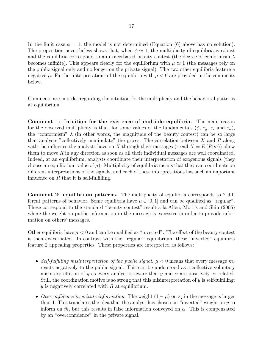In the limit case  $\phi = 1$ , the model is not determined (Equation (6) above has no solution). The proposition nevertheless shows that, when  $\phi \simeq 1$ , the multiplicity of equilibria is robust and the equilibria correspond to an exacerbated beauty contest (the degree of conformism  $\lambda$ becomes infinite). This appears clearly for the equilibrium with  $\mu \approx 1$  (the messages rely on the public signal only and no longer on the private signal). The two other equilibria feature a negative  $\mu$ . Further interpretations of the equilibria with  $\mu < 0$  are provided in the comments below.

Comments are in order regarding the intuition for the multiplicity and the behavioral patterns at equilibrium.

**Comment 1: Intuition for the existence of multiple equilibria.** The main reason for the observed multiplicity is that, for some values of the fundamentals  $(\phi, \tau_y, \tau_s \text{ and } \tau_\alpha)$ , the "conformism"  $\lambda$  (in other words, the magnitude of the beauty contest) can be so large that analysts "collectively manipulate" the prices. The correlation between *X* and *R* along with the influence the analysts have on X through their messages (recall  $X = E(R|\bar{m})$ ) allow them to move *R* in any direction as soon as all their individual messages are well coordinated. Indeed, at an equilibrium, analysts coordinate their interpretation of exogenous signals (they choose an equilibrium value of  $\mu$ ). Multiplicity of equilibria means that they can coordinate on different interpretations of the signals, and each of these interpretations has such an important influence on *R* that it is self-fulfilling.

**Comment 2: equilibrium patterns.** The multiplicity of equilibria corresponds to 2 different patterns of behavior. Some equilibria have  $\mu \in [0,1]$  and can be qualified as "regular". These correspond to the standard "beauty contest" result à la Allen, Morris and Shin (2006) where the weight on public information in the message is excessive in order to provide information on others' messages.

Other equilibria have  $\mu < 0$  and can be qualified as "inverted". The effect of the beauty contest is then exacerbated. In contrast with the "regular" equilibrium, these "inverted" equilibria feature 2 appealing properties. These properties are interpreted as follows:

- Self-fulfilling misinterpretation of the public signal.  $\mu < 0$  means that every message  $m_j$ reacts negatively to the public signal. This can be understood as a collective voluntary misinterpretation of *y* as every analyst is aware that *y* and  $\alpha$  are positively correlated. Still, the coordination motive is so strong that this misinterpretation of *y* is self-fulfilling: *y* is negatively correlated with *R* at equilibrium.
- *• Overconfidence in private information.* The weight (1 *− µ*) on *s<sup>j</sup>* in the message is larger than 1. This translates the idea that the analyst has chosen an "inverted" weight on *y* to inform on  $\bar{m}$ , but this results in false information conveyed on  $\alpha$ . This is compensated by an "overconfidence" in the private signal.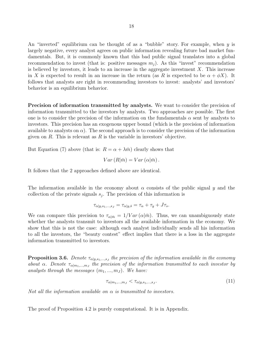An "inverted" equilibrium can be thought of as a "bubble" story. For example, when *y* is largely negative, every analyst agrees on public information revealing future bad market fundamentals. But, it is commonly known that this bad public signal translates into a global recommendation to invest (that is: positive messages  $m<sub>i</sub>$ ). As this "invest" recommendation is believed by investors, it leads to an increase in the aggregate investment *X*. This increase in *X* is expected to result in an increase in the return (as *R* is expected to be  $\alpha + \phi X$ ). It follows that analysts are right in recommending investors to invest: analysts' and investors' behavior is an equilibrium behavior.

**Precision of information transmitted by analysts.** We want to consider the precision of information transmitted to the investors by analysts. Two approaches are possible. The first one is to consider the precision of the information on the fundamentals  $\alpha$  sent by analysts to investors. This precision has an exogenous upper bound (which is the precision of information available to analysts on  $\alpha$ ). The second approach is to consider the precision of the information given on *R*. This is relevant as *R* is the variable in investors' objective.

But Equation (7) above (that is:  $R = \alpha + \lambda \bar{m}$ ) clearly shows that

$$
Var(R|\bar{m}) = Var(\alpha|\bar{m}).
$$

It follows that the 2 approaches defined above are identical.

The information available in the economy about *α* consists of the public signal *y* and the collection of the private signals  $s_j$ . The precision of this information is

$$
\tau_{\alpha|y,s_1,\dots,s_J}=\tau_{\alpha|y,\bar{s}}=\tau_\alpha+\tau_y+J\tau_s.
$$

We can compare this precision to  $\tau_{\alpha|\bar{m}} = 1/Var(\alpha|\bar{m})$ . Thus, we can unambiguously state whether the analysts transmit to investors all the available information in the economy. We show that this is not the case: although each analyst individually sends all his information to all the investors, the "beauty contest" effect implies that there is a loss in the aggregate information transmitted to investors.

**Proposition 3.6.** *Denote*  $\tau_{\alpha|y,s_1,\dots,s_J}$  *the precision of the information available in the economy about*  $\alpha$ *. Denote*  $\tau_{\alpha|m_1,...,m_J}$  the precision of the information transmitted to each investor by *analysts through the messages*  $(m_1, ..., m_J)$ *. We have:* 

$$
\tau_{\alpha|m_1,\dots,m_J} < \tau_{\alpha|y,s_1,\dots,s_J}.\tag{11}
$$

*Not all the information available on α is transmitted to investors.*

The proof of Proposition 4.2 is purely computational. It is in Appendix.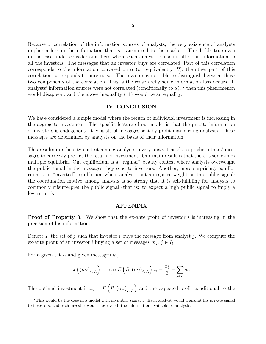Because of correlation of the information sources of analysts, the very existence of analysts implies a loss in the information that is transmitted to the market. This holds true even in the case under consideration here where each analyst transmits all of his information to all the investors. The messages that an investor buys are correlated. Part of this correlation corresponds to the information conveyed on  $\alpha$  (or, equivalently, *R*), the other part of this correlation corresponds to pure noise. The investor is not able to distinguish between these two components of the correlation. This is the reason why some information loss occurs. If analysts' information sources were not correlated (conditionally to  $\alpha$ ),<sup>17</sup> then this phenomenon would disappear, and the above inequality (11) would be an equality.

#### **IV. CONCLUSION**

We have considered a simple model where the return of individual investment is increasing in the aggregate investment. The specific feature of our model is that the private information of investors is endogenous: it consists of messages sent by profit maximizing analysts. These messages are determined by analysts on the basis of their information.

This results in a beauty contest among analysts: every analyst needs to predict others' messages to correctly predict the return of investment. Our main result is that there is sometimes multiple equilibria. One equilibrium is a "regular" beauty contest where analysts overweight the public signal in the messages they send to investors. Another, more surprising, equilibrium is an "inverted" equilibrium where analysts put a negative weight on the public signal: the coordination motive among analysts is so strong that it is self-fulfilling for analysts to commonly misinterpret the public signal (that is: to expect a high public signal to imply a low return).

#### **APPENDIX**

**Proof of Property 3.** We show that the ex-ante profit of investor *i* is increasing in the precision of his information.

Denote  $I_i$  the set of  $j$  such that investor  $i$  buys the message from analyst  $j$ . We compute the ex-ante profit of an investor *i* buying a set of messages  $m_j$ ,  $j \in I_i$ .

For a given set  $I_i$  and given messages  $m_j$ 

$$
\pi\left((m_j)_{j\in I_i}\right) = \max_{x_i} E\left(R | (m_j)_{j\in I_i}\right) x_i - \frac{x_i^2}{2} - \sum_{j\in I_i} q_j.
$$

The optimal investment is  $x_i = E\left(R | (m_j)_{j \in I_i}\right)$ ) and the expected profit conditional to the

<sup>&</sup>lt;sup>17</sup>This would be the case in a model with no public signal *y*. Each analyst would transmit his private signal to investors, and each investor would observe all the information available to analysts.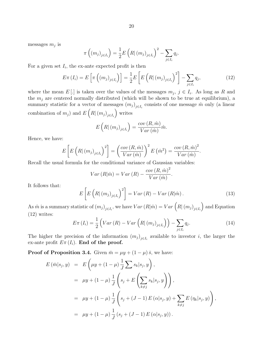messages *m<sup>j</sup>* is

$$
\pi\left((m_j)_{j\in I_i}\right) = \frac{1}{2} E\left(R | (m_j)_{j\in I_i}\right)^2 - \sum_{j\in I_i} q_j.
$$

For a given set  $I_i$ , the ex-ante expected profit is then

$$
E\pi(I_i) = E\left[\pi\left((m_j)_{j\in I_i}\right)\right] = \frac{1}{2}E\left[E\left(R\mid (m_j)_{j\in I_i}\right)^2\right] - \sum_{j\in I_i} q_j,\tag{12}
$$

where the mean  $E[i]$  is taken over the values of the messages  $m_j$ ,  $j \in I_i$ . As long as R and the  $m_j$  are centered normally distributed (which will be shown to be true at equilibrium), a summary statistic for a vector of messages  $(m_j)_{j \in I_i}$  consists of one message  $\hat{m}$  only (a linear combination of  $m_j$ ) and  $E\left(R|(m_j)_{j\in I_i}\right)$ ) writes

$$
E\left(R|\left(m_j\right)_{j\in I_i}\right) = \frac{cov\left(R,\hat{m}\right)}{Var\left(\hat{m}\right)}\hat{m}.
$$

Hence, we have:

$$
E\left[E\left(R\right|\left(m_{j}\right)_{j\in I_{i}}\right)^{2}\right]=\left(\frac{cov\left(R,\hat{m}\right)}{Var\left(\hat{m}\right)}\right)^{2}E\left(\hat{m}^{2}\right)=\frac{cov\left(R,\hat{m}\right)^{2}}{Var\left(\hat{m}\right)}.
$$

Recall the usual formula for the conditional variance of Gaussian variables:

$$
Var(R|\hat{m}) = Var(R) - \frac{cov(R, \hat{m})^2}{Var(\hat{m})}.
$$

It follows that:

$$
E\left[E\left(R|\left(m_{j}\right)_{j\in I_{i}}\right)^{2}\right] = Var\left(R\right) - Var\left(R|\hat{m}\right). \tag{13}
$$

As  $\hat{m}$  is a summary statistic of  $(m_j)_{j \in I_i}$ , we have  $Var(R|\hat{m}) = Var(R|(m_j)_{j \in I_i})$ ) and Equation (12) writes:

$$
E\pi(I_i) = \frac{1}{2} \left( Var\left(R\right) - Var\left(R\right|\left(m_j\right)_{j \in I_i}\right) \right) - \sum_{j \in I_i} q_j. \tag{14}
$$

The higher the precision of the information  $(m_j)_{j \in I_i}$  available to investor *i*, the larger the ex-ante profit  $E\pi(I_i)$ . **End of the proof.** 

**Proof of Proposition 3.4.** Given  $\bar{m} = \mu y + (1 - \mu) \bar{s}$ , we have:

$$
E(\bar{m}|s_j, y) = E\left(\mu y + (1 - \mu) \frac{1}{J} \sum s_k |s_j, y\right),
$$
  
\n
$$
= \mu y + (1 - \mu) \frac{1}{J} \left(s_j + E\left(\sum_{k \neq j} s_k |s_j, y\right)\right),
$$
  
\n
$$
= \mu y + (1 - \mu) \frac{1}{J} \left(s_j + (J - 1) E(\alpha|s_j, y) + \sum_{k \neq j} E(\eta_k|s_j, y)\right),
$$
  
\n
$$
= \mu y + (1 - \mu) \frac{1}{J} \left(s_j + (J - 1) E(\alpha|s_j, y)\right).
$$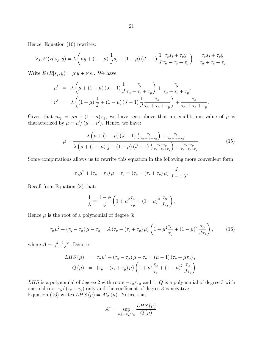Hence, Equation (10) rewrites:

$$
\forall j, E (R | s_j, y) = \lambda \left( \mu y + (1 - \mu) \frac{1}{J} s_j + (1 - \mu) (J - 1) \frac{1}{J} \frac{\tau_s s_j + \tau_y y}{\tau_\alpha + \tau_s + \tau_y} \right) + \frac{\tau_s s_j + \tau_y y}{\tau_\alpha + \tau_s + \tau_y}
$$

Write  $E(R|s_j, y) = \mu' y + \nu' s_j$ . We have:

$$
\mu' = \lambda \left( \mu + (1 - \mu)(J - 1) \frac{1}{J} \frac{\tau_y}{\tau_\alpha + \tau_s + \tau_y} \right) + \frac{\tau_y}{\tau_\alpha + \tau_s + \tau_y},
$$
  

$$
\nu' = \lambda \left( (1 - \mu) \frac{1}{J} + (1 - \mu)(J - 1) \frac{1}{J} \frac{\tau_s}{\tau_\alpha + \tau_s + \tau_y} \right) + \frac{\tau_s}{\tau_\alpha + \tau_s + \tau_y}.
$$

Given that  $m_j = \mu y + (1 - \mu) s_j$ , we have seen above that an equilibrium value of  $\mu$  is characterized by  $\mu = \mu' / (\mu' + \nu')$ . Hence, we have:

$$
\mu = \frac{\lambda \left(\mu + (1 - \mu) \left(J - 1\right) \frac{1}{J} \frac{\tau_y}{\tau_{\alpha} + \tau_s + \tau_y}\right) + \frac{\tau_y}{\tau_{\alpha} + \tau_s + \tau_y}}{\lambda \left(\mu + (1 - \mu) \frac{1}{J} + (1 - \mu) \left(J - 1\right) \frac{1}{J} \frac{\tau_s + \tau_y}{\tau_{\alpha} + \tau_s + \tau_y}}\right) + \frac{\tau_s + \tau_y}{\tau_{\alpha} + \tau_s + \tau_y}}.
$$
(15)

*.*

Some computations allows us to rewrite this equation in the following more convenient form:

$$
\tau_{\alpha}\mu^{2} + (\tau_{y} - \tau_{\alpha})\mu - \tau_{y} = (\tau_{y} - (\tau_{s} + \tau_{y})\mu)\frac{J}{J - 1}\frac{1}{\lambda}.
$$

Recall from Equation (8) that:

$$
\frac{1}{\lambda} = \frac{1 - \phi}{\phi} \left( 1 + \mu^2 \frac{\tau_\alpha}{\tau_y} + (1 - \mu)^2 \frac{\tau_\alpha}{J \tau_s} \right).
$$

Hence  $\mu$  is the root of a polynomial of degree 3:

$$
\tau_{\alpha}\mu^{2} + \left(\tau_{y} - \tau_{\alpha}\right)\mu - \tau_{y} = A\left(\tau_{y} - \left(\tau_{s} + \tau_{y}\right)\mu\right)\left(1 + \mu^{2}\frac{\tau_{\alpha}}{\tau_{y}} + \left(1 - \mu\right)^{2}\frac{\tau_{\alpha}}{J\tau_{s}}\right),\tag{16}
$$

where  $A = \frac{J}{I}$ *J−*1 1*−ϕ ϕ* . Denote

LHS 
$$
(\mu)
$$
 =  $\tau_{\alpha}\mu^2 + (\tau_y - \tau_{\alpha})\mu - \tau_y = (\mu - 1)(\tau_y + \mu\tau_{\alpha}),$   
\n $Q(\mu) = (\tau_y - (\tau_s + \tau_y)\mu) \left(1 + \mu^2 \frac{\tau_{\alpha}}{\tau_y} + (1 - \mu)^2 \frac{\tau_{\alpha}}{J\tau_s}\right).$ 

*LHS* is a polynomial of degree 2 with roots  $-\tau_y/\tau_\alpha$  and 1. *Q* is a polynomial of degree 3 with one real root  $\tau_y/(\tau_s + \tau_y)$  only and the coefficient of degree 3 is negative. Equation (16) writes  $LHS(\mu) = AQ(\mu)$ . Notice that

$$
A^* = \sup_{\mu \leq -\tau_y/\tau_\alpha} \frac{LHS(\mu)}{Q(\mu)}.
$$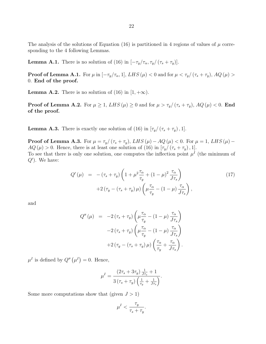22

The analysis of the solutions of Equation  $(16)$  is partitioned in 4 regions of values of  $\mu$  corresponding to the 4 following Lemmas.

**Lemma A.1.** There is no solution of (16) in  $[-\tau_y/\tau_\alpha, \tau_y/(\tau_s + \tau_y)].$ 

**Proof of Lemma A.1.** For  $\mu$  in  $[-\tau_y/\tau_\alpha, 1]$ , LHS  $(\mu) < 0$  and for  $\mu < \tau_y/(\tau_s + \tau_y)$ , AQ  $(\mu) >$ 0. **End of the proof.**

**Lemma A.2.** There is no solution of (16) in  $[1, +\infty)$ .

**Proof of Lemma A.2.** For  $\mu \geq 1$ ,  $LHS(\mu) \geq 0$  and for  $\mu > \tau_y/(\tau_s + \tau_y)$ ,  $AQ(\mu) < 0$ . **End of the proof.**

**Lemma A.3.** There is exactly one solution of (16) in  $[\tau_y/(\tau_s + \tau_y), 1]$ .

**Proof of Lemma A.3.** For  $\mu = \tau_y / (\tau_s + \tau_y)$ ,  $LHS(\mu) - AQ(\mu) < 0$ . For  $\mu = 1$ ,  $LHS(\mu) AQ(\mu) > 0$ . Hence, there is at least one solution of (16) in  $[\tau_y/(\tau_s + \tau_y), 1]$ . To see that there is only one solution, one computes the inflection point  $\mu^I$  (the minimum of

*Q′* ). We have:

$$
Q'(\mu) = -(\tau_s + \tau_y) \left( 1 + \mu^2 \frac{\tau_\alpha}{\tau_y} + (1 - \mu)^2 \frac{\tau_\alpha}{J\tau_s} \right)
$$
  
+2(\tau\_y - (\tau\_s + \tau\_y) \mu) \left( \mu \frac{\tau\_\alpha}{\tau\_y} - (1 - \mu) \frac{\tau\_\alpha}{J\tau\_s} \right), (17)

and

$$
Q''(\mu) = -2(\tau_s + \tau_y) \left( \mu \frac{\tau_\alpha}{\tau_y} - (1 - \mu) \frac{\tau_\alpha}{J \tau_s} \right)
$$

$$
-2(\tau_s + \tau_y) \left( \mu \frac{\tau_\alpha}{\tau_y} - (1 - \mu) \frac{\tau_\alpha}{J \tau_s} \right)
$$

$$
+2(\tau_y - (\tau_s + \tau_y) \mu) \left( \frac{\tau_\alpha}{\tau_y} + \frac{\tau_\alpha}{J \tau_s} \right).
$$

 $\mu^I$  is defined by  $Q''(\mu^I) = 0$ . Hence,

$$
\mu^{I} = \frac{\left(2\tau_{s} + 3\tau_{y}\right)\frac{1}{J\tau_{s}} + 1}{3\left(\tau_{s} + \tau_{y}\right)\left(\frac{1}{\tau_{y}} + \frac{1}{J\tau_{s}}\right)}.
$$

Some more computations show that (given  $J > 1$ )

$$
\mu^I < \frac{\tau_y}{\tau_s + \tau_y}.
$$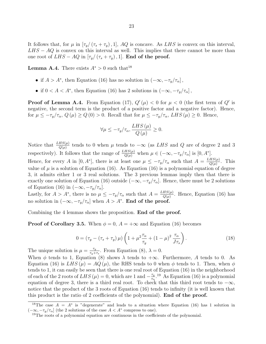It follows that, for  $\mu$  in  $[\tau_y/(\tau_s + \tau_y), 1]$ , AQ is concave. As LHS is convex on this interval, *LHS* − *AQ* is convex on this interval as well. This implies that there cannot be more than one root of  $LHS - AQ$  in  $[\tau_y/(\tau_s + \tau_y), 1]$ . **End of the proof.** 

**Lemma A.4.** There exists  $A^* > 0$  such that<sup>18</sup>

- if  $A > A^*$ , then Equation (16) has no solution in  $(-\infty, -\tau_y/\tau_\alpha]$ ,
- *•* if  $0 < A < A^*$ , then Equation (16) has 2 solutions in  $(-\infty, -\tau_y/\tau_\alpha]$ ,

**Proof of Lemma A.4.** From Equation (17),  $Q'(\mu) < 0$  for  $\mu < 0$  (the first term of  $Q'$  is negative, the second term is the product of a positive factor and a negative factor). Hence, for  $\mu \leq -\tau_y/\tau_\alpha$ ,  $Q(\mu) \geq Q(0) > 0$ . Recall that for  $\mu \leq -\tau_y/\tau_\alpha$ , LHS $(\mu) \geq 0$ . Hence,

$$
\forall \mu \le -\tau_y/\tau_\alpha, \frac{LHS\left(\mu\right)}{Q\left(\mu\right)} \ge 0.
$$

Notice that  $\frac{LHS(\mu)}{Q(\mu)}$  tends to 0 when  $\mu$  tends to  $-\infty$  (as *LHS* and *Q* are of degree 2 and 3 respectively). It follows that the range of  $\frac{LHS(\mu)}{Q(\mu)}$  when  $\mu \in (-\infty, -\tau_y/\tau_\alpha]$  is  $[0, A^*]$ .

Hence, for every *A* in  $[0, A^*]$ , there is at least one  $\mu \leq -\tau_y/\tau_\alpha$  such that  $A = \frac{LHS(\mu)}{O(\mu)}$  $rac{HS(\mu)}{Q(\mu)}$ . This value of  $\mu$  is a solution of Equation (16). As Equation (16) is a polynomial equation of degree 3, it admits either 1 or 3 real solutions. The 3 previous lemmas imply then that there is exactly one solution of Equation (16) outside  $(-\infty, -\tau_y/\tau_\alpha]$ . Hence, there must be 2 solutions of Equation (16) in  $(-\infty, -\tau_y/\tau_\alpha]$ .

Lastly, for  $A > A^*$ , there is no  $\mu \leq -\tau_y/\tau_\alpha$  such that  $A = \frac{LHS(\mu)}{O(\mu)}$  $\frac{HS(\mu)}{Q(\mu)}$ . Hence, Equation (16) has no solution in  $(-\infty, -\tau_y/\tau_\alpha]$  when  $A > A^*$ . **End of the proof.** 

Combining the 4 lemmas shows the proposition. **End of the proof.**

**Proof of Corollary 3.5.** When  $\phi = 0$ ,  $A = +\infty$  and Equation (16) becomes

$$
0 = \left(\tau_y - \left(\tau_s + \tau_y\right)\mu\right) \left(1 + \mu^2 \frac{\tau_\alpha}{\tau_y} + \left(1 - \mu\right)^2 \frac{\tau_\alpha}{J\tau_s}\right). \tag{18}
$$

The unique solution is  $\mu = \frac{\tau_y}{\tau + \mu}$  $\frac{\tau_y}{\tau_y + \tau_s}$ . From Equation (8),  $\lambda = 0$ .

When  $\phi$  tends to 1, Equation (8) shows  $\lambda$  tends to  $+\infty$ . Furthermore, A tends to 0. As Equation (16) is  $LHS(\mu) = AQ(\mu)$ , the RHS tends to 0 when  $\phi$  tends to 1. Then, when  $\phi$ tends to 1, it can easily be seen that there is one real root of Equation (16) in the neighborhood of each of the 2 roots of  $LHS(\mu) = 0$ , which are 1 and  $-\frac{\tau_y}{\tau_y}$  $\frac{\tau_y}{\tau_\alpha}$ <sup>19</sup> As Equation (16) is a polynomial equation of degree 3, there is a third real root. To check that this third root tends to *−∞*, notice that the product of the 3 roots of Equation (16) tends to infinity (it is well known that this product is the ratio of 2 coefficients of the polynomial). **End of the proof.**

<sup>&</sup>lt;sup>18</sup>The case  $A = A^*$  is "degenerate" and leads to a situation where Equation (16) has 1 solution in  $(-\infty, -\tau_y/\tau_\alpha]$  (the 2 solutions of the case *A* < *A*<sup>∗</sup> compress to one).

<sup>&</sup>lt;sup>19</sup>The roots of a polynomial equation are continuous in the coefficients of the polynomial.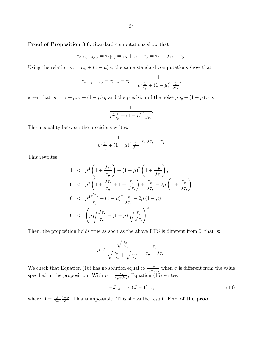#### **Proof of Proposition 3.6.** Standard computations show that

$$
\tau_{\alpha|s_1,\ldots,s_J,y}=\tau_{\alpha|\bar{s},y}=\tau_\alpha+\tau_{\bar{s}}+\tau_y=\tau_\alpha+J\tau_s+\tau_y.
$$

Using the relation  $\bar{m} = \mu y + (1 - \mu) \bar{s}$ , the same standard computations show that

$$
\tau_{\alpha|m_1,...,m_J} = \tau_{\alpha|\bar{m}} = \tau_{\alpha} + \frac{1}{\mu^2 \frac{1}{\tau_y} + (1 - \mu)^2 \frac{1}{J\tau_s}},
$$

given that  $\bar{m} = \alpha + \mu \eta_y + (1 - \mu) \bar{\eta}$  and the precision of the noise  $\mu \eta_y + (1 - \mu) \bar{\eta}$  is

$$
\frac{1}{\mu^2 \frac{1}{\tau_y} + (1 - \mu)^2 \frac{1}{J\tau_s}}.
$$

The inequality between the precisions writes:

$$
\frac{1}{\mu^2 \frac{1}{\tau_y} + (1 - \mu)^2 \frac{1}{J\tau_s}} < J\tau_s + \tau_y.
$$

This rewrites

$$
1 < \mu^{2} \left( 1 + \frac{J\tau_{s}}{\tau_{y}} \right) + (1 - \mu)^{2} \left( 1 + \frac{\tau_{y}}{J\tau_{s}} \right),
$$
  
\n
$$
0 < \mu^{2} \left( 1 + \frac{J\tau_{s}}{\tau_{y}} + 1 + \frac{\tau_{y}}{J\tau_{s}} \right) + \frac{\tau_{y}}{J\tau_{s}} - 2\mu \left( 1 + \frac{\tau_{y}}{J\tau_{s}} \right)
$$
  
\n
$$
0 < \mu^{2} \frac{J\tau_{s}}{\tau_{y}} + (1 - \mu)^{2} \frac{\tau_{y}}{J\tau_{s}} - 2\mu (1 - \mu)
$$
  
\n
$$
0 < \left( \mu \sqrt{\frac{J\tau_{s}}{\tau_{y}}} - (1 - \mu) \sqrt{\frac{\tau_{y}}{J\tau_{s}}} \right)^{2}
$$

Then, the proposition holds true as soon as the above RHS is different from 0, that is:

$$
\mu \neq \frac{\sqrt{\frac{\tau_y}{J_{\tau_s}}}}{\sqrt{\frac{\tau_y}{J_{\tau_s}}} + \sqrt{\frac{J_{\tau_s}}{\tau_y}}} = \frac{\tau_y}{\tau_y + J_{\tau_s}}.
$$

We check that Equation (16) has no solution equal to  $\frac{\tau_y}{\tau_y + J\tau_s}$  when  $\phi$  is different from the value specified in the proposition. With  $\mu = \frac{\tau_y}{\tau + \mu}$  $\frac{\tau_y}{\tau_y + J\tau_s}$ , Equation (16) writes:

$$
-J\tau_s = A\left(J-1\right)\tau_s,\tag{19}
$$

where  $A = \frac{J}{I}$ *J−*1  $\frac{1-\phi}{\phi}$ . This is impossible. This shows the result. **End of the proof.**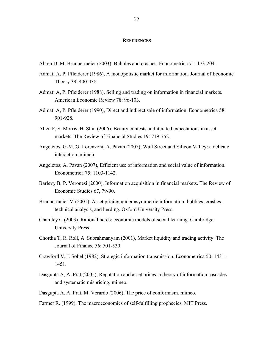#### **REFERENCES**

- Abreu D, M. Brunnermeier (2003), Bubbles and crashes. Econometrica 71: 173-204.
- Admati A, P. Pfleiderer (1986), A monopolistic market for information. Journal of Economic Theory 39: 400-438.
- Admati A, P. Pfleiderer (1988), Selling and trading on information in financial markets. American Economic Review 78: 96-103.
- Admati A, P. Pfleiderer (1990), Direct and indirect sale of information. Econometrica 58: 901-928.
- Allen F, S. Morris, H. Shin (2006), Beauty contests and iterated expectations in asset markets. The Review of Financial Studies 19: 719-752.
- Angeletos, G-M, G. Lorenzoni, A. Pavan (2007), Wall Street and Silicon Valley: a delicate interaction. mimeo.
- Angeletos, A. Pavan (2007), Efficient use of information and social value of information. Econometrica 75: 1103-1142.
- Barlevy B, P. Veronesi (2000), Information acquisition in financial markets. The Review of Economic Studies 67, 79-90.
- Brunnermeier M (2001), Asset pricing under asymmetric information: bubbles, crashes, technical analysis, and herding. Oxford University Press.
- Chamley C (2003), Rational herds: economic models of social learning. Cambridge University Press.
- Chordia T, R. Roll, A. Subrahmanyam (2001), Market liquidity and trading activity. The Journal of Finance 56: 501-530.
- Crawford V, J. Sobel (1982), Strategic information transmission. Econometrica 50: 1431- 1451.
- Dasgupta A, A. Prat (2005), Reputation and asset prices: a theory of information cascades and systematic mispricing, mimeo.
- Dasgupta A, A. Prat, M. Verardo (2006), The price of conformism, mimeo.
- Farmer R. (1999), The macroeconomics of self-fulfilling prophecies. MIT Press.